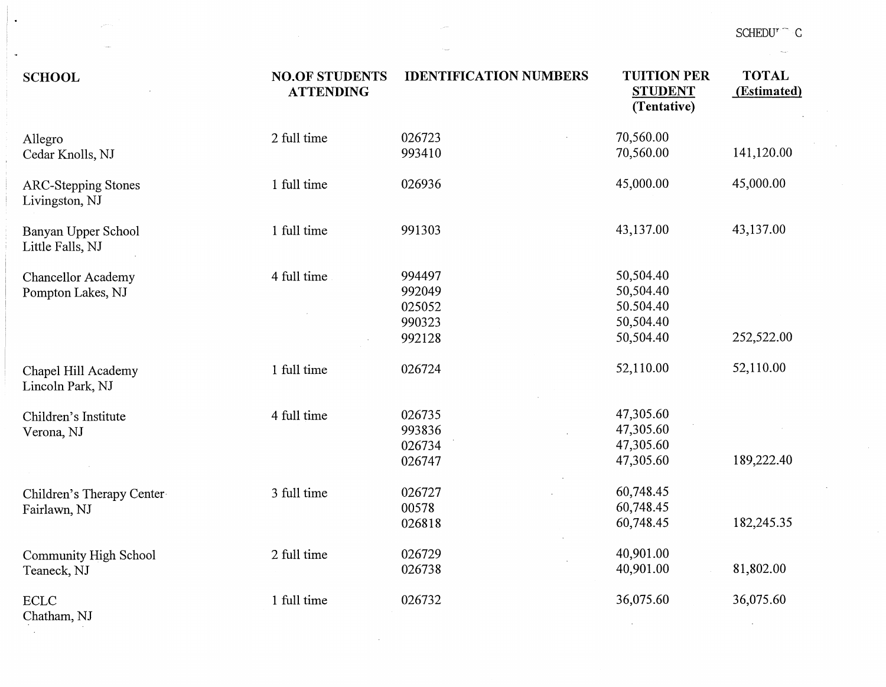| <b>SCHOOL</b>                                  | <b>NO.OF STUDENTS</b><br><b>ATTENDING</b> | <b>IDENTIFICATION NUMBERS</b>                  | <b>TUITION PER</b><br><b>STUDENT</b><br>(Tentative)           | <b>TOTAL</b><br>(Estimated) |
|------------------------------------------------|-------------------------------------------|------------------------------------------------|---------------------------------------------------------------|-----------------------------|
| Allegro<br>Cedar Knolls, NJ                    | 2 full time                               | 026723<br>993410                               | 70,560.00<br>70,560.00                                        | 141,120.00                  |
| <b>ARC-Stepping Stones</b><br>Livingston, NJ   | 1 full time                               | 026936                                         | 45,000.00                                                     | 45,000.00                   |
| Banyan Upper School<br>Little Falls, NJ        | 1 full time                               | 991303                                         | 43,137.00                                                     | 43,137.00                   |
| <b>Chancellor Academy</b><br>Pompton Lakes, NJ | 4 full time                               | 994497<br>992049<br>025052<br>990323<br>992128 | 50,504.40<br>50,504.40<br>50.504.40<br>50,504.40<br>50,504.40 | 252,522.00                  |
| Chapel Hill Academy<br>Lincoln Park, NJ        | 1 full time                               | 026724                                         | 52,110.00                                                     | 52,110.00                   |
| Children's Institute<br>Verona, NJ             | 4 full time                               | 026735<br>993836<br>026734<br>026747           | 47,305.60<br>47,305.60<br>47,305.60<br>47,305.60              | 189,222.40                  |
| Children's Therapy Center<br>Fairlawn, NJ      | 3 full time                               | 026727<br>00578<br>026818                      | 60,748.45<br>60,748.45<br>60,748.45                           | 182,245.35                  |
| <b>Community High School</b><br>Teaneck, NJ    | 2 full time                               | 026729<br>026738                               | 40,901.00<br>40,901.00                                        | 81,802.00                   |
| <b>ECLC</b><br>Chatham, NJ                     | 1 full time                               | 026732                                         | 36,075.60                                                     | 36,075.60                   |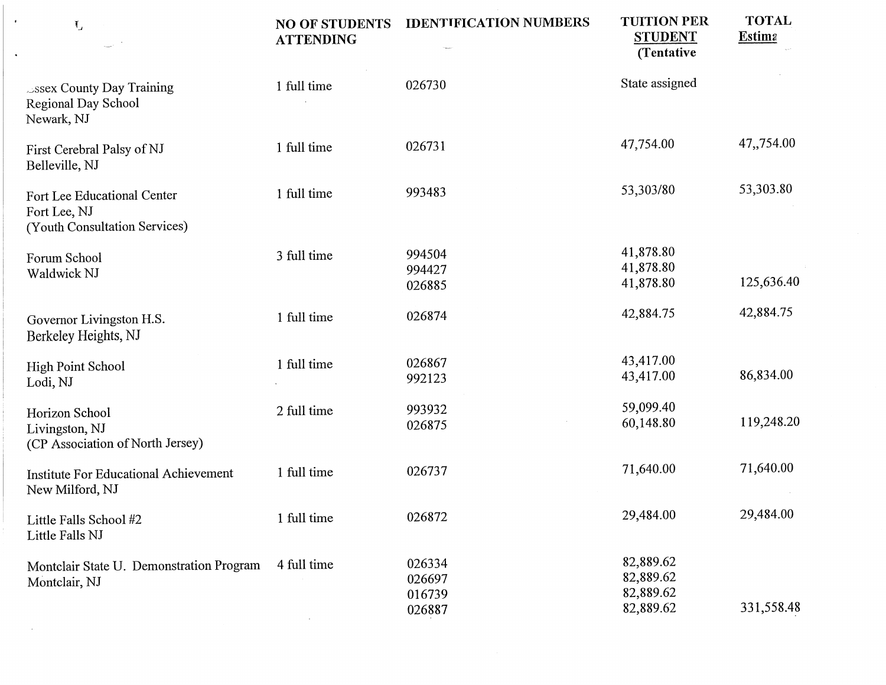| $\mathbf{I}_\perp$                                                           | <b>NO OF STUDENTS</b><br><b>ATTENDING</b> | <b>IDENTIFICATION NUMBERS</b>        | <b>TUITION PER</b><br><b>STUDENT</b><br>(Tentative) | <b>TOTAL</b><br><b>Estima</b> |
|------------------------------------------------------------------------------|-------------------------------------------|--------------------------------------|-----------------------------------------------------|-------------------------------|
| $\triangle$ ssex County Day Training<br>Regional Day School<br>Newark, NJ    | 1 full time                               | 026730                               | State assigned                                      |                               |
| First Cerebral Palsy of NJ<br>Belleville, NJ                                 | 1 full time                               | 026731                               | 47,754.00                                           | 47,,754.00                    |
| Fort Lee Educational Center<br>Fort Lee, NJ<br>(Youth Consultation Services) | 1 full time                               | 993483                               | 53,303/80                                           | 53,303.80                     |
| Forum School<br>Waldwick NJ                                                  | 3 full time                               | 994504<br>994427<br>026885           | 41,878.80<br>41,878.80<br>41,878.80                 | 125,636.40                    |
| Governor Livingston H.S.<br>Berkeley Heights, NJ                             | 1 full time                               | 026874                               | 42,884.75                                           | 42,884.75                     |
| High Point School<br>Lodi, NJ                                                | 1 full time                               | 026867<br>992123                     | 43,417.00<br>43,417.00                              | 86,834.00                     |
| Horizon School<br>Livingston, NJ<br>(CP Association of North Jersey)         | 2 full time                               | 993932<br>026875                     | 59,099.40<br>60,148.80                              | 119,248.20                    |
| Institute For Educational Achievement<br>New Milford, NJ                     | 1 full time                               | 026737                               | 71,640.00                                           | 71,640.00                     |
| Little Falls School #2<br>Little Falls NJ                                    | 1 full time                               | 026872                               | 29,484.00                                           | 29,484.00                     |
| Montclair State U. Demonstration Program<br>Montclair, NJ                    | 4 full time                               | 026334<br>026697<br>016739<br>026887 | 82,889.62<br>82,889.62<br>82,889.62<br>82,889.62    | 331,558.48                    |

 $\epsilon$ 

 $\bullet$ 

 $\sim$   $\sim$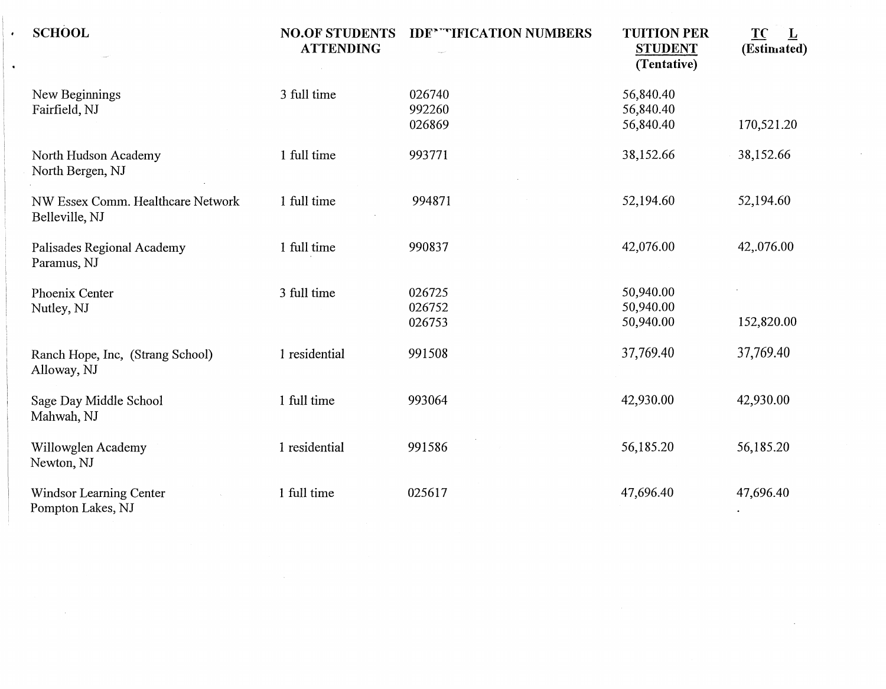| <b>SCHOOL</b>                                       | <b>NO.OF STUDENTS</b><br><b>ATTENDING</b> | <b>IDE* "TIFICATION NUMBERS</b> | <b>TUITION PER</b><br><b>STUDENT</b><br>(Tentative) | TC<br>$\overline{\mathbf{r}}$<br>(Estimated) |
|-----------------------------------------------------|-------------------------------------------|---------------------------------|-----------------------------------------------------|----------------------------------------------|
| New Beginnings<br>Fairfield, NJ                     | 3 full time                               | 026740<br>992260<br>026869      | 56,840.40<br>56,840.40<br>56,840.40                 | 170,521.20                                   |
| North Hudson Academy<br>North Bergen, NJ            | 1 full time                               | 993771                          | 38,152.66                                           | 38,152.66                                    |
| NW Essex Comm. Healthcare Network<br>Belleville, NJ | 1 full time                               | 994871                          | 52,194.60                                           | 52,194.60                                    |
| Palisades Regional Academy<br>Paramus, NJ           | 1 full time                               | 990837                          | 42,076.00                                           | 42,.076.00                                   |
| Phoenix Center<br>Nutley, NJ                        | 3 full time                               | 026725<br>026752<br>026753      | 50,940.00<br>50,940.00<br>50,940.00                 | 152,820.00                                   |
| Ranch Hope, Inc, (Strang School)<br>Alloway, NJ     | 1 residential                             | 991508                          | 37,769.40                                           | 37,769.40                                    |
| Sage Day Middle School<br>Mahwah, NJ                | 1 full time                               | 993064                          | 42,930.00                                           | 42,930.00                                    |
| Willowglen Academy<br>Newton, NJ                    | 1 residential                             | 991586                          | 56,185.20                                           | 56,185.20                                    |
| Windsor Learning Center<br>Pompton Lakes, NJ        | 1 full time                               | 025617                          | 47,696.40                                           | 47,696.40                                    |

 $\mathcal{L}(\mathcal{L}(\mathcal{L}(\mathcal{L}(\mathcal{L}(\mathcal{L}(\mathcal{L}(\mathcal{L}(\mathcal{L}(\mathcal{L}(\mathcal{L}(\mathcal{L}(\mathcal{L}(\mathcal{L}(\mathcal{L}(\mathcal{L}(\mathcal{L}(\mathcal{L}(\mathcal{L}(\mathcal{L}(\mathcal{L}(\mathcal{L}(\mathcal{L}(\mathcal{L}(\mathcal{L}(\mathcal{L}(\mathcal{L}(\mathcal{L}(\mathcal{L}(\mathcal{L}(\mathcal{L}(\mathcal{L}(\mathcal{L}(\mathcal{L}(\mathcal{L}(\mathcal{L}(\mathcal{$ 

 $\sim 10^{11}$  km  $^{-1}$ 

 $\mathcal{L}^{\mathcal{L}}(\mathcal{A})$  and  $\mathcal{L}^{\mathcal{L}}(\mathcal{A})$ 

 $\bullet$ 

 $\hat{\mathbf{v}}$ 

 $\mathcal{L}^{\text{max}}_{\text{max}}$  and  $\mathcal{L}^{\text{max}}_{\text{max}}$